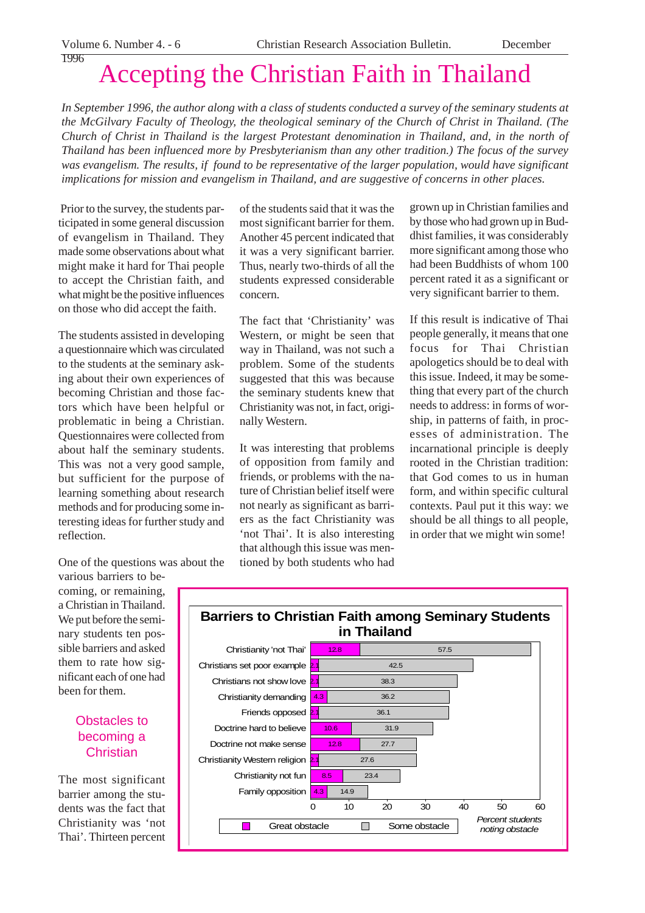1996

# Accepting the Christian Faith in Thailand

*In September 1996, the author along with a class of students conducted a survey of the seminary students at the McGilvary Faculty of Theology, the theological seminary of the Church of Christ in Thailand. (The Church of Christ in Thailand is the largest Protestant denomination in Thailand, and, in the north of Thailand has been influenced more by Presbyterianism than any other tradition.) The focus of the survey was evangelism. The results, if found to be representative of the larger population, would have significant implications for mission and evangelism in Thailand, and are suggestive of concerns in other places.*

 Prior to the survey, the students participated in some general discussion of evangelism in Thailand. They made some observations about what might make it hard for Thai people to accept the Christian faith, and what might be the positive influences on those who did accept the faith.

The students assisted in developing a questionnaire which was circulated to the students at the seminary asking about their own experiences of becoming Christian and those factors which have been helpful or problematic in being a Christian. Questionnaires were collected from about half the seminary students. This was not a very good sample, but sufficient for the purpose of learning something about research methods and for producing some interesting ideas for further study and reflection.

of the students said that it was the most significant barrier for them. Another 45 percent indicated that it was a very significant barrier. Thus, nearly two-thirds of all the students expressed considerable concern.

The fact that 'Christianity' was Western, or might be seen that way in Thailand, was not such a problem. Some of the students suggested that this was because the seminary students knew that Christianity was not, in fact, originally Western.

It was interesting that problems of opposition from family and friends, or problems with the nature of Christian belief itself were not nearly as significant as barriers as the fact Christianity was 'not Thai'. It is also interesting that although this issue was mentioned by both students who had

grown up in Christian families and by those who had grown up in Buddhist families, it was considerably more significant among those who had been Buddhists of whom 100 percent rated it as a significant or very significant barrier to them.

If this result is indicative of Thai people generally, it means that one focus for Thai Christian apologetics should be to deal with this issue. Indeed, it may be something that every part of the church needs to address: in forms of worship, in patterns of faith, in processes of administration. The incarnational principle is deeply rooted in the Christian tradition: that God comes to us in human form, and within specific cultural contexts. Paul put it this way: we should be all things to all people, in order that we might win some!

One of the questions was about the

various barriers to becoming, or remaining, a Christian in Thailand. We put before the seminary students ten possible barriers and asked them to rate how significant each of one had been for them.

## Obstacles to becoming a **Christian**

The most significant barrier among the students was the fact that Christianity was 'not Thai'. Thirteen percent

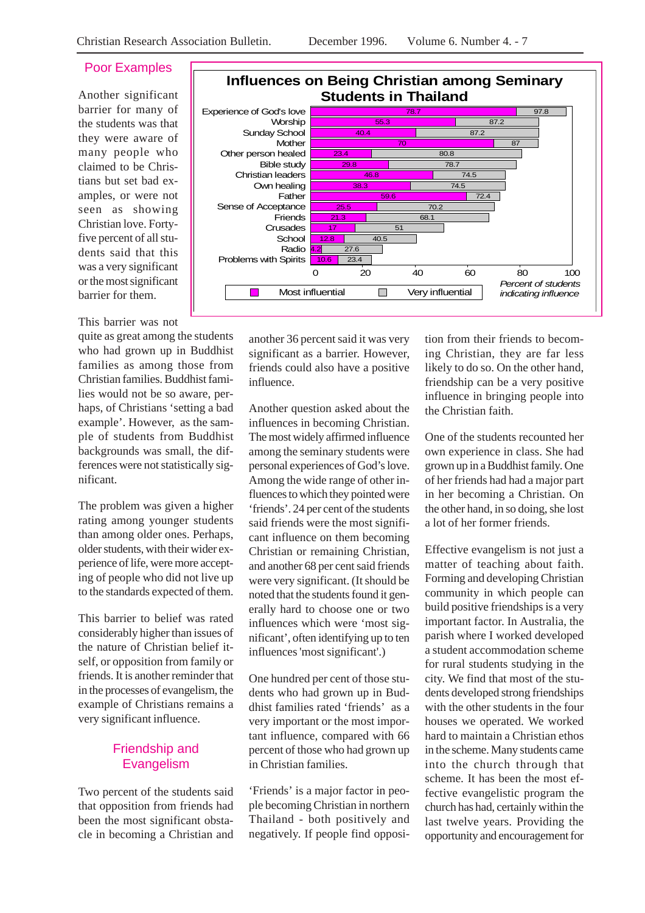### Poor Examples

Another significant barrier for many of the students was that they were aware of many people who claimed to be Christians but set bad examples, or were not seen as showing Christian love. Fortyfive percent of all students said that this was a very significant or the most significant barrier for them.

#### This barrier was not

quite as great among the students who had grown up in Buddhist families as among those from Christian families. Buddhist families would not be so aware, perhaps, of Christians 'setting a bad example'. However, as the sample of students from Buddhist backgrounds was small, the differences were not statistically significant.

The problem was given a higher rating among younger students than among older ones. Perhaps, older students, with their wider experience of life, were more accepting of people who did not live up to the standards expected of them.

This barrier to belief was rated considerably higher than issues of the nature of Christian belief itself, or opposition from family or friends. It is another reminder that in the processes of evangelism, the example of Christians remains a very significant influence.

## Friendship and Evangelism

Two percent of the students said that opposition from friends had been the most significant obstacle in becoming a Christian and



another 36 percent said it was very significant as a barrier. However, friends could also have a positive influence.

Another question asked about the influences in becoming Christian. The most widely affirmed influence among the seminary students were personal experiences of God's love. Among the wide range of other influences to which they pointed were 'friends'. 24 per cent of the students said friends were the most significant influence on them becoming Christian or remaining Christian, and another 68 per cent said friends were very significant. (It should be noted that the students found it generally hard to choose one or two influences which were 'most significant', often identifying up to ten influences 'most significant'.)

One hundred per cent of those students who had grown up in Buddhist families rated 'friends' as a very important or the most important influence, compared with 66 percent of those who had grown up in Christian families.

'Friends' is a major factor in people becoming Christian in northern Thailand - both positively and negatively. If people find opposi-

tion from their friends to becoming Christian, they are far less likely to do so. On the other hand, friendship can be a very positive influence in bringing people into the Christian faith.

One of the students recounted her own experience in class. She had grown up in a Buddhist family. One of her friends had had a major part in her becoming a Christian. On the other hand, in so doing, she lost a lot of her former friends.

Effective evangelism is not just a matter of teaching about faith. Forming and developing Christian community in which people can build positive friendships is a very important factor. In Australia, the parish where I worked developed a student accommodation scheme for rural students studying in the city. We find that most of the students developed strong friendships with the other students in the four houses we operated. We worked hard to maintain a Christian ethos in the scheme. Many students came into the church through that scheme. It has been the most effective evangelistic program the church has had, certainly within the last twelve years. Providing the opportunity and encouragement for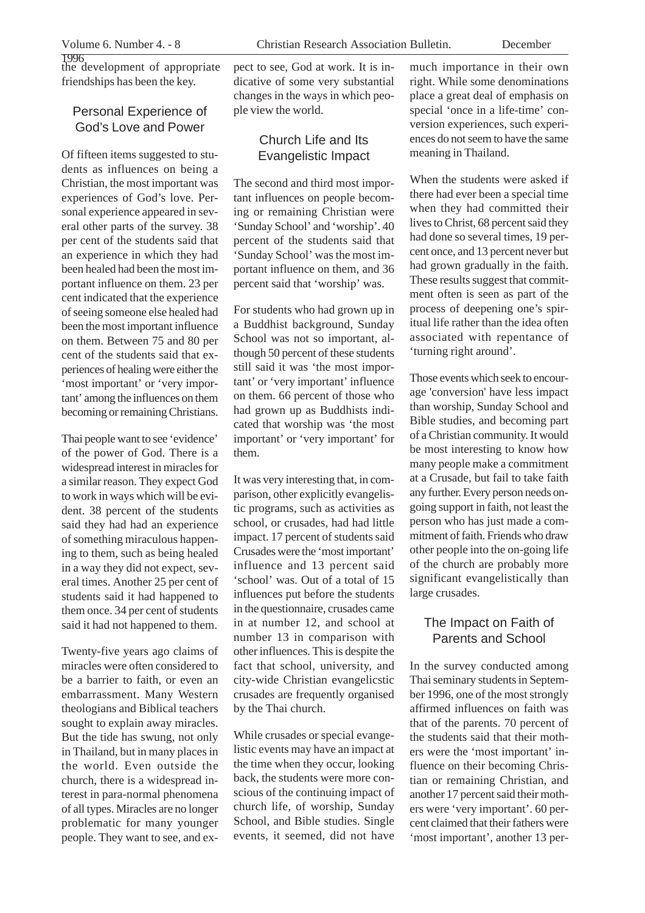1996 the development of appropriate friendships has been the key.

#### Personal Experience of God's Love and Power

Of fifteen items suggested to students as influences on being a Christian, the most important was experiences of God's love. Personal experience appeared in several other parts of the survey. 38 per cent of the students said that an experience in which they had been healed had been the most important influence on them. 23 per cent indicated that the experience of seeing someone else healed had been the most important influence on them. Between 75 and 80 per cent of the students said that experiences of healing were either the 'most important' or 'very important' among the influences on them becoming or remaining Christians.

Thai people want to see 'evidence' of the power of God. There is a widespread interest in miracles for a similar reason. They expect God to work in ways which will be evident. 38 percent of the students said they had had an experience of something miraculous happening to them, such as being healed in a way they did not expect, several times. Another 25 per cent of students said it had happened to them once. 34 per cent of students said it had not happened to them.

Twenty-five years ago claims of miracles were often considered to be a barrier to faith, or even an embarrassment. Many Western theologians and Biblical teachers sought to explain away miracles. But the tide has swung, not only in Thailand, but in many places in the world. Even outside the church, there is a widespread interest in para-normal phenomena of all types. Miracles are no longer problematic for many younger people. They want to see, and expect to see, God at work. It is indicative of some very substantial changes in the ways in which people view the world.

#### Church Life and Its Evangelistic Impact

The second and third most important influences on people becoming or remaining Christian were 'Sunday School' and 'worship'. 40 percent of the students said that 'Sunday School' was the most important influence on them, and 36 percent said that 'worship' was.

For students who had grown up in a Buddhist background, Sunday School was not so important, although 50 percent of these students still said it was 'the most important' or 'very important' influence on them. 66 percent of those who had grown up as Buddhists indicated that worship was 'the most important' or 'very important' for them.

It was very interesting that, in comparison, other explicitly evangelistic programs, such as activities as school, or crusades, had had little impact. 17 percent of students said Crusades were the 'most important' influence and 13 percent said 'school' was. Out of a total of 15 influences put before the students in the questionnaire, crusades came in at number 12, and school at number 13 in comparison with other influences. This is despite the fact that school, university, and city-wide Christian evangelicstic crusades are frequently organised by the Thai church.

While crusades or special evangelistic events may have an impact at the time when they occur, looking back, the students were more conscious of the continuing impact of church life, of worship, Sunday School, and Bible studies. Single events, it seemed, did not have

much importance in their own right. While some denominations place a great deal of emphasis on special 'once in a life-time' conversion experiences, such experiences do not seem to have the same meaning in Thailand.

When the students were asked if there had ever been a special time when they had committed their lives to Christ, 68 percent said they had done so several times, 19 percent once, and 13 percent never but had grown gradually in the faith. These results suggest that commitment often is seen as part of the process of deepening one's spiritual life rather than the idea often associated with repentance of 'turning right around'.

Those events which seek to encourage 'conversion' have less impact than worship, Sunday School and Bible studies, and becoming part of a Christian community. It would be most interesting to know how many people make a commitment at a Crusade, but fail to take faith any further. Every person needs ongoing support in faith, not least the person who has just made a commitment of faith. Friends who draw other people into the on-going life of the church are probably more significant evangelistically than large crusades.

### The Impact on Faith of Parents and School

In the survey conducted among Thai seminary students in September 1996, one of the most strongly affirmed influences on faith was that of the parents. 70 percent of the students said that their mothers were the 'most important' influence on their becoming Christian or remaining Christian, and another 17 percent said their mothers were 'very important'. 60 percent claimed that their fathers were 'most important', another 13 per-